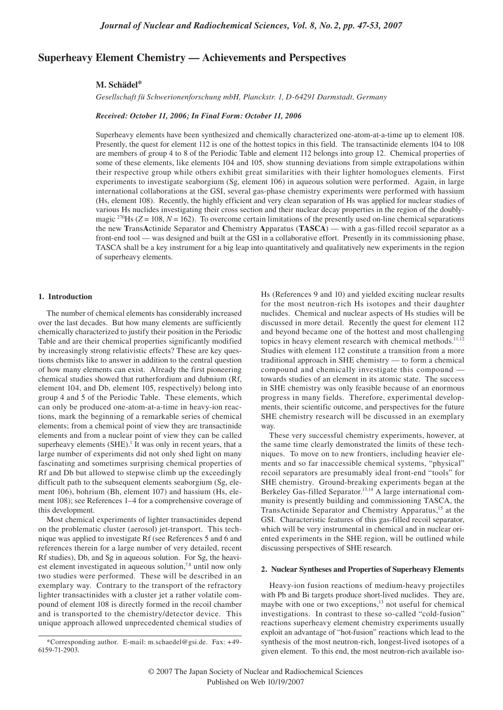# **Superheavy Element Chemistry — Achievements and Perspectives**

# **M. Schädel\***

*Gesellschaft fü Schwerionenforschung mbH, Planckstr. 1, D-64291 Darmstadt, Germany*

# *Received: October 11, 2006; In Final Form: October 11, 2006*

Superheavy elements have been synthesized and chemically characterized one-atom-at-a-time up to element 108. Presently, the quest for element 112 is one of the hottest topics in this field. The transactinide elements 104 to 108 are members of group 4 to 8 of the Periodic Table and element 112 belongs into group 12. Chemical properties of some of these elements, like elements 104 and 105, show stunning deviations from simple extrapolations within their respective group while others exhibit great similarities with their lighter homologues elements. First experiments to investigate seaborgium (Sg, element 106) in aqueous solution were performed. Again, in large international collaborations at the GSI, several gas-phase chemistry experiments were performed with hassium (Hs, element 108). Recently, the highly efficient and very clean separation of Hs was applied for nuclear studies of various Hs nuclides investigating their cross section and their nuclear decay properties in the region of the doublymagic <sup>270</sup>Hs ( $Z = 108$ ,  $N = 162$ ). To overcome certain limitations of the presently used on-line chemical separations the new **T**rans**A**ctinide Separator and **C**hemistry **A**pparatus (**TASCA**) — with a gas-filled recoil separator as a front-end tool — was designed and built at the GSI in a collaborative effort. Presently in its commissioning phase, TASCA shall be a key instrument for a big leap into quantitatively and qualitatively new experiments in the region of superheavy elements.

### **1. Introduction**

The number of chemical elements has considerably increased over the last decades. But how many elements are sufficiently chemically characterized to justify their position in the Periodic Table and are their chemical properties significantly modified by increasingly strong relativistic effects? These are key questions chemists like to answer in addition to the central question of how many elements can exist. Already the first pioneering chemical studies showed that rutherfordium and dubnium (Rf, element 104, and Db, element 105, respectively) belong into group 4 and 5 of the Periodic Table. These elements, which can only be produced one-atom-at-a-time in heavy-ion reactions, mark the beginning of a remarkable series of chemical elements; from a chemical point of view they are transactinide elements and from a nuclear point of view they can be called superheavy elements  $(SHE)$ .<sup>1</sup> It was only in recent years, that a large number of experiments did not only shed light on many fascinating and sometimes surprising chemical properties of Rf and Db but allowed to stepwise climb up the exceedingly difficult path to the subsequent elements seaborgium (Sg, element 106), bohrium (Bh, element 107) and hassium (Hs, element 108); see References 1–4 for a comprehensive coverage of this development.

Most chemical experiments of lighter transactinides depend on the problematic cluster (aerosol) jet-transport. This technique was applied to investigate Rf (see References 5 and 6 and references therein for a large number of very detailed, recent Rf studies), Db, and Sg in aqueous solution. For Sg, the heaviest element investigated in aqueous solution,<sup>7,8</sup> until now only two studies were performed. These will be described in an exemplary way. Contrary to the transport of the refractory lighter transactinides with a cluster jet a rather volatile compound of element 108 is directly formed in the recoil chamber and is transported to the chemistry/detector device. This unique approach allowed unprecedented chemical studies of

Hs (References 9 and 10) and yielded exciting nuclear results for the most neutron-rich Hs isotopes and their daughter nuclides. Chemical and nuclear aspects of Hs studies will be discussed in more detail. Recently the quest for element 112 and beyond became one of the hottest and most challenging topics in heavy element research with chemical methods.<sup>11,12</sup> Studies with element 112 constitute a transition from a more traditional approach in SHE chemistry — to form a chemical compound and chemically investigate this compound towards studies of an element in its atomic state. The success in SHE chemistry was only feasible because of an enormous progress in many fields. Therefore, experimental developments, their scientific outcome, and perspectives for the future SHE chemistry research will be discussed in an exemplary way.

These very successful chemistry experiments, however, at the same time clearly demonstrated the limits of these techniques. To move on to new frontiers, including heavier elements and so far inaccessible chemical systems, "physical" recoil separators are presumably ideal front-end "tools" for SHE chemistry. Ground-breaking experiments began at the Berkeley Gas-filled Separator.<sup>13,14</sup> A large international community is presently building and commissioning TASCA, the TransActinide Separator and Chemistry Apparatus,<sup>15</sup> at the GSI. Characteristic features of this gas-filled recoil separator, which will be very instrumental in chemical and in nuclear oriented experiments in the SHE region, will be outlined while discussing perspectives of SHE research.

## **2. Nuclear Syntheses and Properties of Superheavy Elements**

Heavy-ion fusion reactions of medium-heavy projectiles with Pb and Bi targets produce short-lived nuclides. They are, maybe with one or two exceptions,<sup>13</sup> not useful for chemical investigations. In contrast to these so-called "cold-fusion" reactions superheavy element chemistry experiments usually exploit an advantage of "hot-fusion" reactions which lead to the synthesis of the most neutron-rich, longest-lived isotopes of a given element. To this end, the most neutron-rich available iso-

<sup>\*</sup>Corresponding author. E-mail: m.schaedel@gsi.de. Fax: +49- 6159-71-2903.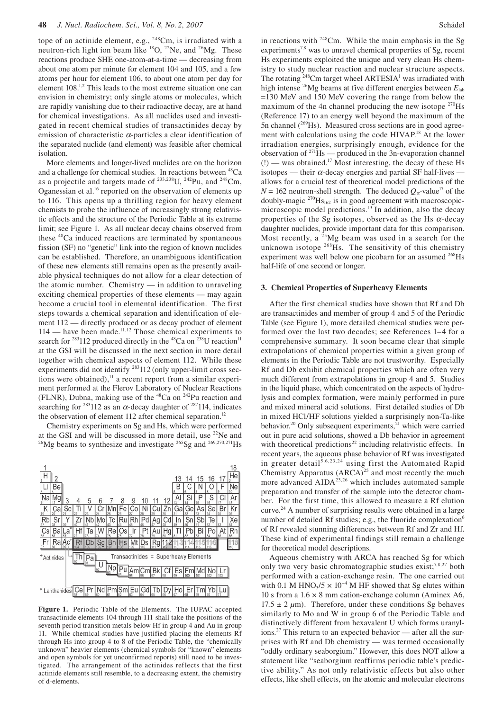tope of an actinide element, e.g., <sup>248</sup>Cm, is irradiated with a neutron-rich light ion beam like <sup>18</sup>O, <sup>22</sup>Ne, and <sup>26</sup>Mg. These reactions produce SHE one-atom-at-a-time — decreasing from about one atom per minute for element 104 and 105, and a few atoms per hour for element 106, to about one atom per day for element 108.1,2 This leads to the most extreme situation one can envision in chemistry; only single atoms or molecules, which are rapidly vanishing due to their radioactive decay, are at hand for chemical investigations. As all nuclides used and investigated in recent chemical studies of transactinides decay by emission of characteristic  $\alpha$ -particles a clear identification of the separated nuclide (and element) was feasible after chemical isolation.

More elements and longer-lived nuclides are on the horizon and a challenge for chemical studies. In reactions between 48Ca as a projectile and targets made of  $^{233,238}$ U,  $^{242}$ Pu, and  $^{248}$ Cm, Oganessian et al.16 reported on the observation of elements up to 116. This opens up a thrilling region for heavy element chemists to probe the influence of increasingly strong relativistic effects and the structure of the Periodic Table at its extreme limit; see Figure 1. As all nuclear decay chains observed from these <sup>48</sup>Ca induced reactions are terminated by spontaneous fission (SF) no "genetic" link into the region of known nuclides can be established. Therefore, an unambiguous identification of these new elements still remains open as the presently available physical techniques do not allow for a clear detection of the atomic number. Chemistry — in addition to unraveling exciting chemical properties of these elements — may again become a crucial tool in elemental identification. The first steps towards a chemical separation and identification of element 112 — directly produced or as decay product of element 114 — have been made.<sup>11,12</sup> Those chemical experiments to search for <sup>283</sup>112 produced directly in the <sup>48</sup>Ca on <sup>238</sup>U reaction<sup>11</sup> at the GSI will be discussed in the next section in more detail together with chemical aspects of element 112. While these experiments did not identify 283112 (only upper-limit cross sections were obtained),<sup>11</sup> a recent report from a similar experiment performed at the Flerov Laboratory of Nuclear Reactions (FLNR), Dubna, making use of the  $48$ Ca on  $242$ Pu reaction and searching for <sup>283</sup>112 as an  $\alpha$ -decay daughter of <sup>287</sup>114, indicates the observation of element 112 after chemical separation.<sup>12</sup>

Chemistry experiments on Sg and Hs, which were performed at the GSI and will be discussed in more detail, use <sup>22</sup>Ne and <sup>269</sup>Mg beams to synthesize and investigate <sup>265</sup>Sg and <sup>269,270,271</sup>Hs



**Figure 1.** Periodic Table of the Elements. The IUPAC accepted transactinide elements 104 through 111 shall take the positions of the seventh period transition metals below Hf in group 4 and Au in group 11. While chemical studies have justified placing the elements Rf through Hs into group 4 to 8 of the Periodic Table, the "chemically unknown" heavier elements (chemical symbols for "known" elements and open symbols for yet unconfirmed reports) still need to be investigated. The arrangement of the actinides reflects that the first actinide elements still resemble, to a decreasing extent, the chemistry of d-elements.

in reactions with  $248$ Cm. While the main emphasis in the Sg experiments<sup>7,8</sup> was to unravel chemical properties of Sg, recent Hs experiments exploited the unique and very clean Hs chemistry to study nuclear reaction and nuclear structure aspects. The rotating  $248$ Cm target wheel ARTESIA<sup>1</sup> was irradiated with high intense <sup>26</sup>Mg beams at five different energies between  $E_{\text{lab}}$ =130 MeV and 150 MeV covering the range from below the maximum of the 4n channel producing the new isotope  $270$ Hs (Reference 17) to an energy well beyond the maximum of the 5n channel  $(^{269}Hs)$ . Measured cross sections are in good agreement with calculations using the code HIVAP<sup>18</sup> At the lower irradiation energies, surprisingly enough, evidence for the observation of  $271$  Hs — produced in the 3n-evaporation channel  $(!)$  — was obtained.<sup>17</sup> Most interesting, the decay of these Hs isotopes — their  $\alpha$ -decay energies and partial SF half-lives allows for a crucial test of theoretical model predictions of the  $N = 162$  neutron-shell strength. The deduced  $Q_{\alpha}$ -value<sup>17</sup> of the doubly-magic  $^{270}$ Hs<sub>162</sub> is in good agreement with macroscopicmicroscopic model predictions.<sup>19</sup> In addition, also the decay properties of the Sg isotopes, observed as the Hs  $\alpha$ -decay daughter nuclides, provide important data for this comparison. Most recently, a  $25Mg$  beam was used in a search for the unknown isotope <sup>268</sup>Hs. The sensitivity of this chemistry experiment was well below one picobarn for an assumed <sup>268</sup>Hs half-life of one second or longer.

#### **3. Chemical Properties of Superheavy Elements**

After the first chemical studies have shown that Rf and Db are transactinides and member of group 4 and 5 of the Periodic Table (see Figure 1), more detailed chemical studies were performed over the last two decades; see References 1–4 for a comprehensive summary. It soon became clear that simple extrapolations of chemical properties within a given group of elements in the Periodic Table are not trustworthy. Especially Rf and Db exhibit chemical properties which are often very much different from extrapolations in group 4 and 5. Studies in the liquid phase, which concentrated on the aspects of hydrolysis and complex formation, were mainly performed in pure and mixed mineral acid solutions. First detailed studies of Db in mixed HCl/HF solutions yielded a surprisingly non-Ta-like behavior.<sup>20</sup> Only subsequent experiments,<sup>21</sup> which were carried out in pure acid solutions, showed a Db behavior in agreement with theoretical predictions<sup>22</sup> including relativistic effects. In recent years, the aqueous phase behavior of Rf was investigated in greater detail<sup>5,6,23,24</sup> using first the Automated Rapid Chemistry Apparatus  $(ARCA)^{25}$  and most recently the much more advanced AIDA<sup>23,26</sup> which includes automated sample preparation and transfer of the sample into the detector chamber. For the first time, this allowed to measure a Rf elution curve.24 A number of surprising results were obtained in a large number of detailed Rf studies; e.g., the fluoride complexation<sup>6</sup> of Rf revealed stunning differences between Rf and Zr and Hf. These kind of experimental findings still remain a challenge for theoretical model descriptions.

Aqueous chemistry with ARCA has reached Sg for which only two very basic chromatographic studies exist;<sup>7,8,27</sup> both performed with a cation-exchange resin. The one carried out with 0.1 M HNO<sub>3</sub>/5  $\times$  10<sup>-4</sup> M HF showed that Sg elutes within 10 s from a  $1.6 \times 8$  mm cation-exchange column (Aminex A6, 17.5  $\pm$  2  $\mu$ m). Therefore, under these conditions Sg behaves similarly to Mo and W in group 6 of the Periodic Table and distinctively different from hexavalent U which forms uranylions.27 This return to an expected behavior — after all the surprises with Rf and Db chemistry — was termed occasionally "oddly ordinary seaborgium." However, this does NOT allow a statement like "seaborgium reaffirms periodic table's predictive ability." As not only relativistic effects but also other effects, like shell effects, on the atomic and molecular electrons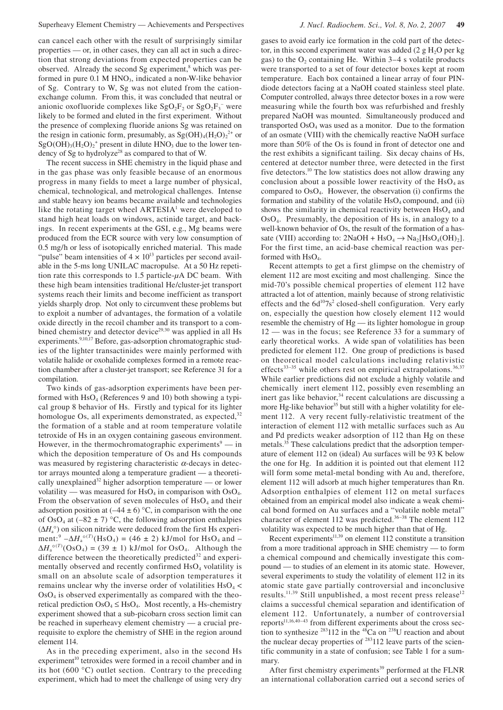can cancel each other with the result of surprisingly similar properties — or, in other cases, they can all act in such a direction that strong deviations from expected properties can be observed. Already the second Sg experiment,<sup>8</sup> which was performed in pure  $0.1$  M  $HNO<sub>3</sub>$ , indicated a non-W-like behavior of Sg. Contrary to W, Sg was not eluted from the cationexchange column. From this, it was concluded that neutral or anionic oxofluoride complexes like  $SgO_2F_2$  or  $SgO_2F_3^-$  were likely to be formed and eluted in the first experiment. Without the presence of complexing fluoride anions Sg was retained on the resign in cationic form, presumably, as  $Sg(OH)_{4}(H_{2}O)_{2}^{2+}$  or  $SgO(OH)<sub>3</sub>(H<sub>2</sub>O)<sub>2</sub><sup>+</sup>$  present in dilute HNO<sub>3</sub> due to the lower tendency of Sg to hydrolyze<sup>28</sup> as compared to that of W.

The recent success in SHE chemistry in the liquid phase and in the gas phase was only feasible because of an enormous progress in many fields to meet a large number of physical, chemical, technological, and metrological challenges. Intense and stable heavy ion beams became available and technologies like the rotating target wheel  $ARTESIA<sup>1</sup>$  were developed to stand high heat loads on windows, actinide target, and backings. In recent experiments at the GSI, e.g., Mg beams were produced from the ECR source with very low consumption of 0.5 mg/h or less of isotopically enriched material. This made "pulse" beam intensities of  $4 \times 10^{13}$  particles per second available in the 5-ms long UNILAC macropulse. At a 50 Hz repetition rate this corresponds to 1.5 particle-*µ*A DC beam. With these high beam intensities traditional He/cluster-jet transport systems reach their limits and become inefficient as transport yields sharply drop. Not only to circumvent these problems but to exploit a number of advantages, the formation of a volatile oxide directly in the recoil chamber and its transport to a combined chemistry and detector device<sup>29,30</sup> was applied in all Hs experiments.<sup>9,10,17</sup> Before, gas-adsorption chromatographic studies of the lighter transactinides were mainly performed with volatile halide or oxohalide complexes formed in a remote reaction chamber after a cluster-jet transport; see Reference 31 for a compilation.

Two kinds of gas-adsorption experiments have been performed with  $HsO<sub>4</sub>$  (References 9 and 10) both showing a typical group 8 behavior of Hs. Firstly and typical for its lighter homologue Os, all experiments demonstrated, as expected,  $32$ the formation of a stable and at room temperature volatile tetroxide of Hs in an oxygen containing gaseous environment. However, in the thermochromatographic experiments<sup>9</sup> — in which the deposition temperature of Os and Hs compounds was measured by registering characteristic  $\alpha$ -decays in detector arrays mounted along a temperature gradient — a theoretically unexplained<sup>32</sup> higher adsorption temperature — or lower volatility — was measured for  $HsO<sub>4</sub>$  in comparison with  $OsO<sub>4</sub>$ . From the observation of seven molecules of  $HsO<sub>4</sub>$  and their adsorption position at  $(-44 \pm 6)$  °C, in comparison with the one of OsO<sub>4</sub> at  $(-82 \pm 7)$  °C, the following adsorption enthalpies (∆*H*a°) on silicon nitride were deduced from the first Hs experiment:<sup>9</sup>  $-\Delta H_a^{\circ (T)}(\text{HsO}_4) = (46 \pm 2) \text{ kJ/mol}$  for HsO<sub>4</sub> and –  $\Delta H_a^{\circ (T)}(\text{OsO}_4) = (39 \pm 1) \text{ kJ/mol}$  for OsO<sub>4</sub>. Although the difference between the theoretically predicted<sup>32</sup> and experimentally observed and recently confirmed  $HsO<sub>4</sub>$  volatility is small on an absolute scale of adsorption temperatures it remains unclear why the inverse order of volatilities  $HsO<sub>4</sub>$  $OsO<sub>4</sub>$  is observed experimentally as compared with the theoretical prediction  $OsO<sub>4</sub> \leq H<sub>s</sub>O<sub>4</sub>$ . Most recently, a Hs-chemistry experiment showed that a sub-picobarn cross section limit can be reached in superheavy element chemistry — a crucial prerequisite to explore the chemistry of SHE in the region around element 114.

As in the preceding experiment, also in the second Hs experiment<sup>10</sup> tetroxides were formed in a recoil chamber and in its hot (600 °C) outlet section. Contrary to the preceding experiment, which had to meet the challenge of using very dry

gases to avoid early ice formation in the cold part of the detector, in this second experiment water was added  $(2 g H<sub>2</sub>O$  per kg gas) to the  $O_2$  containing He. Within 3–4 s volatile products were transported to a set of four detector boxes kept at room temperature. Each box contained a linear array of four PINdiode detectors facing at a NaOH coated stainless steel plate. Computer controlled, always three detector boxes in a row were measuring while the fourth box was refurbished and freshly prepared NaOH was mounted. Simultaneously produced and transported  $OsO<sub>4</sub>$  was used as a monitor. Due to the formation of an osmate (VIII) with the chemically reactive NaOH surface more than 50% of the Os is found in front of detector one and the rest exhibits a significant tailing. Six decay chains of Hs, centered at detector number three, were detected in the first five detectors.<sup>10</sup> The low statistics does not allow drawing any conclusion about a possible lower reactivity of the  $H<sub>s</sub>O<sub>4</sub>$  as compared to  $OsO<sub>4</sub>$ . However, the observation (i) confirms the formation and stability of the volatile  $H<sub>s</sub>O<sub>4</sub>$  compound, and (ii) shows the similarity in chemical reactivity between  $HsO<sub>4</sub>$  and OsO4. Presumably, the deposition of Hs is, in analogy to a well-known behavior of Os, the result of the formation of a hassate (VIII) according to:  $2NaOH + HsO<sub>4</sub> \rightarrow Na<sub>2</sub>[HsO<sub>4</sub>(OH)<sub>2</sub>].$ For the first time, an acid-base chemical reaction was performed with  $HsO<sub>4</sub>$ .

Recent attempts to get a first glimpse on the chemistry of element 112 are most exciting and most challenging. Since the mid-70's possible chemical properties of element 112 have attracted a lot of attention, mainly because of strong relativistic effects and the  $6d^{10}7s^2$  closed-shell configuration. Very early on, especially the question how closely element 112 would resemble the chemistry of Hg — its lighter homologue in group 12 — was in the focus; see Reference 33 for a summary of early theoretical works. A wide span of volatilities has been predicted for element 112. One group of predictions is based on theoretical model calculations including relativistic effects<sup>33–35</sup> while others rest on empirical extrapolations.<sup>36,37</sup> While earlier predictions did not exclude a highly volatile and chemically inert element 112, possibly even resembling an inert gas like behavior, $34$  recent calculations are discussing a more Hg-like behavior<sup>35</sup> but still with a higher volatility for element 112. A very recent fully-relativistic treatment of the interaction of element 112 with metallic surfaces such as Au and Pd predicts weaker adsorption of 112 than Hg on these metals.35 These calculations predict that the adsorption temperature of element 112 on (ideal) Au surfaces will be 93 K below the one for Hg. In addition it is pointed out that element 112 will form some metal-metal bonding with Au and, therefore, element 112 will adsorb at much higher temperatures than Rn. Adsorption enthalpies of element 112 on metal surfaces obtained from an empirical model also indicate a weak chemical bond formed on Au surfaces and a "volatile noble metal" character of element 112 was predicted.<sup>36-38</sup> The element 112 volatility was expected to be much higher than that of Hg.

Recent experiments<sup>11,39</sup> on element 112 constitute a transition from a more traditional approach in SHE chemistry — to form a chemical compound and chemically investigate this compound — to studies of an element in its atomic state. However, several experiments to study the volatility of element 112 in its atomic state gave partially controversial and inconclusive results.<sup>11,39</sup> Still unpublished, a most recent press release<sup>12</sup> claims a successful chemical separation and identification of element 112. Unfortunately, a number of controversial reports<sup>11,16,40-43</sup> from different experiments about the cross section to synthesize  $^{283}112$  in the  $^{48}Ca$  on  $^{238}U$  reaction and about the nuclear decay properties of  $283112$  leave parts of the scientific community in a state of confusion; see Table 1 for a summary.

After first chemistry experiments<sup>39</sup> performed at the FLNR an international collaboration carried out a second series of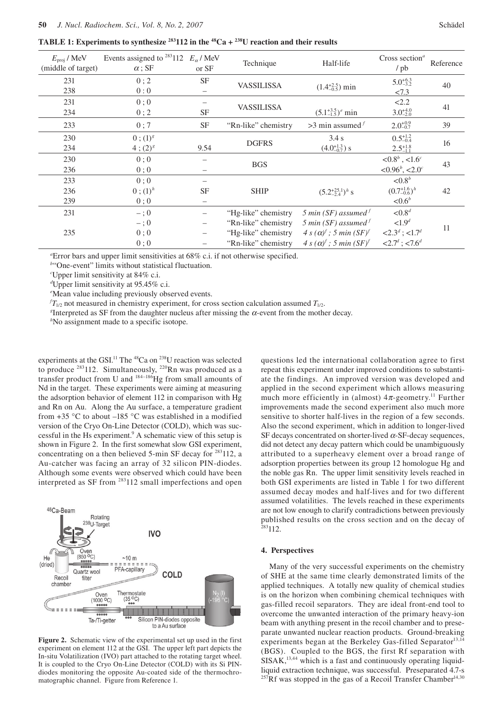**TABLE 1: Experiments to synthesize**  $^{283}$ 112 in the  $^{48}$ Ca +  $^{238}$ U reaction and their results

| $E_{\text{proj}}$ / MeV<br>(middle of target) | Events assigned to <sup>283</sup> 112 $E_{\alpha}$ /MeV<br>$\alpha$ ; SF | or SF             | Technique           | Half-life                                 | Cross section <sup><math>a</math></sup><br>/ pb | Reference |
|-----------------------------------------------|--------------------------------------------------------------------------|-------------------|---------------------|-------------------------------------------|-------------------------------------------------|-----------|
| 231                                           | 0; 2                                                                     | SF                |                     |                                           | $5.0_{-3.2}^{+6.3}$                             |           |
| 238                                           | 0:0                                                                      |                   | <b>VASSILISSA</b>   | $(1.4^{+2.5}_{-0.5})$ min                 | 27.3                                            | 40        |
| 231                                           | 0;0                                                                      |                   |                     |                                           | 2.2                                             | 41        |
| 234                                           | 0; 2                                                                     | <b>SF</b>         | <b>VASSILISSA</b>   | $(5.1_{-1.5}^{+3.5})^e$ min               | $3.0^{+4.0}_{-2.0}$                             |           |
| 233                                           | 0:7                                                                      | <b>SF</b>         | "Rn-like" chemistry | $>3$ min assumed $f$                      | $2.0^{+0.9}_{-0.7}$                             | 39        |
| 230                                           | $0$ ; $(1)^{g}$                                                          |                   |                     | 3.4 s                                     | $0.5_{-0.4}^{+1.2}$                             |           |
| 234                                           | $4$ ; $(2)^{8}$                                                          | 9.54              | <b>DGFRS</b>        | $(4.0^{+1.3}_{-0.7})$ s                   | $2.5^{+1.8}_{-1.1}$                             | 16        |
| 230                                           | 0;0                                                                      |                   |                     |                                           | $< 0.8^b$ , <1.6 <sup>c</sup>                   |           |
| 236                                           | 0;0                                                                      |                   | <b>BGS</b>          |                                           | $< 0.96^b, < 2.0^c$                             | 43        |
| 233                                           | 0:0                                                                      |                   |                     |                                           | ${<}0.8^b$                                      |           |
| 236                                           | $0$ ; $(1)^{h}$                                                          | <b>SF</b>         | <b>SHIP</b>         | $(5.2^{+25.1}_{-2.4})^h$ s                | $(0.7^{+1.6}_{-0.6})^h$                         | 42        |
| 239                                           | 0:0                                                                      |                   |                     |                                           | $< 0.6^b$                                       |           |
| 231                                           | $-$ ; 0                                                                  | $\qquad \qquad -$ | "Hg-like" chemistry | 5 min (SF) assumed $^f$                   | ${<}0.8^d$                                      |           |
|                                               | $-$ ; 0                                                                  | $\qquad \qquad -$ | "Rn-like" chemistry | 5 min (SF) assumed $^f$                   | < 1.9 <sup>d</sup>                              |           |
| 235                                           | 0;0                                                                      | $\qquad \qquad -$ | "Hg-like" chemistry | $4 s(\alpha)^f$ ; 5 min (SF) <sup>f</sup> | $<2.3^d$ ; <1.7 <sup>d</sup>                    | 11        |
|                                               | 0:0                                                                      |                   | "Rn-like" chemistry | $4 s(\alpha)^f$ ; 5 min (SF) <sup>f</sup> | $<2.7d$ ; <7.6 <sup>d</sup>                     |           |

*a* Error bars and upper limit sensitivities at 68% c.i. if not otherwise specified.

<sup>*b*"</sup>One-event" limits without statistical fluctuation.

*c* Upper limit sensitivity at 84% c.i.

*d* Upper limit sensitivity at 95.45% c.i.

*e* Mean value including previously observed events.

 $f_{I_{1/2}}$  not measured in chemistry experiment, for cross section calculation assumed  $T_{I_{1/2}}$ .

*g*Interpreted as SF from the daughter nucleus after missing the  $\alpha$ -event from the mother decay.

*h* No assignment made to a specific isotope.

experiments at the GSI.<sup>11</sup> The <sup>48</sup>Ca on <sup>238</sup>U reaction was selected to produce <sup>283</sup>112. Simultaneously, <sup>220</sup>Rn was produced as a transfer product from U and  $^{184-186}$ Hg from small amounts of Nd in the target. These experiments were aiming at measuring the adsorption behavior of element 112 in comparison with Hg and Rn on Au. Along the Au surface, a temperature gradient from  $+35$  °C to about  $-185$  °C was established in a modified version of the Cryo On-Line Detector (COLD), which was successful in the Hs experiment.<sup>9</sup> A schematic view of this setup is shown in Figure 2. In the first somewhat slow GSI experiment, concentrating on a then believed 5-min SF decay for  $283112$ , a Au-catcher was facing an array of 32 silicon PIN-diodes. Although some events were observed which could have been interpreted as SF from 283112 small imperfections and open



**Figure 2.** Schematic view of the experimental set up used in the first experiment on element 112 at the GSI. The upper left part depicts the In-situ Volatilization (IVO) part attached to the rotating target wheel. It is coupled to the Cryo On-Line Detector (COLD) with its Si PINdiodes monitoring the opposite Au-coated side of the thermochromatographic channel. Figure from Reference 1.

questions led the international collaboration agree to first repeat this experiment under improved conditions to substantiate the findings. An improved version was developed and applied in the second experiment which allows measuring much more efficiently in (almost)  $4\pi$ -geometry.<sup>11</sup> Further improvements made the second experiment also much more sensitive to shorter half-lives in the region of a few seconds. Also the second experiment, which in addition to longer-lived SF decays concentrated on shorter-lived  $\alpha$ -SF-decay sequences, did not detect any decay pattern which could be unambiguously attributed to a superheavy element over a broad range of adsorption properties between its group 12 homologue Hg and the noble gas Rn. The upper limit sensitivity levels reached in both GSI experiments are listed in Table 1 for two different assumed decay modes and half-lives and for two different assumed volatilities. The levels reached in these experiments are not low enough to clarify contradictions between previously published results on the cross section and on the decay of  $283112.$ 

#### **4. Perspectives**

Many of the very successful experiments on the chemistry of SHE at the same time clearly demonstrated limits of the applied techniques. A totally new quality of chemical studies is on the horizon when combining chemical techniques with gas-filled recoil separators. They are ideal front-end tool to overcome the unwanted interaction of the primary heavy-ion beam with anything present in the recoil chamber and to preseparate unwanted nuclear reaction products. Ground-breaking experiments began at the Berkeley Gas-filled Separator<sup>13,14</sup> (BGS). Coupled to the BGS, the first Rf separation with  $SISAK$ ,<sup>13,44</sup> which is a fast and continuously operating liquidliquid extraction technique, was successful. Preseparated 4.7-s  $^{257}$ Rf was stopped in the gas of a Recoil Transfer Chamber<sup>14,30</sup>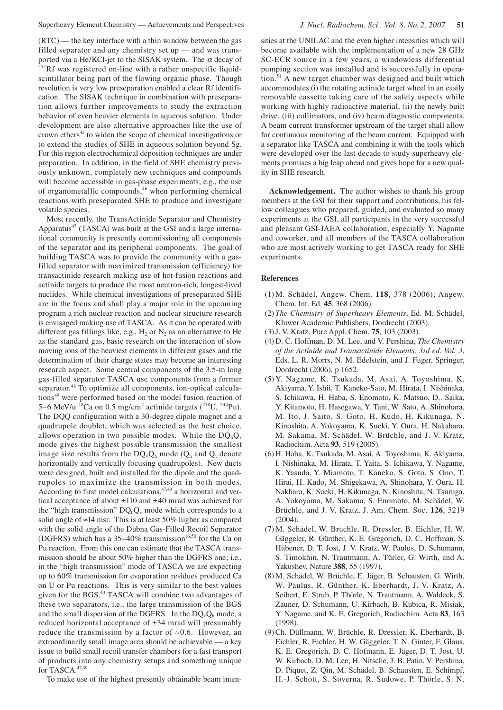(RTC) — the key interface with a thin window between the gas filled separator and any chemistry set up — and was transported via a He/KCl-jet to the SISAK system. The  $\alpha$  decay of  $^{257}$ Rf was registered on-line with a rather unspecific liquidscintillator being part of the flowing organic phase. Though resolution is very low preseparation enabled a clear Rf identification. The SISAK technique in combination with preseparation allows further improvements to study the extraction behavior of even heavier elements in aqueous solution. Under development are also alternative approaches like the use of crown ethers<sup>45</sup> to widen the scope of chemical investigations or to extend the studies of SHE in aqueous solution beyond Sg. For this region electrochemical deposition techniques are under preparation. In addition, in the field of SHE chemistry previously unknown, completely new techniques and compounds will become accessible in gas-phase experiments; e.g., the use of organometallic compounds,46 when performing chemical reactions with preseparated SHE to produce and investigate volatile species.

Most recently, the TransActinide Separator and Chemistry Apparatus<sup>47</sup> (TASCA) was built at the GSI and a large international community is presently commissioning all components of the separator and its peripheral components. The goal of building TASCA was to provide the community with a gasfilled separator with maximized transmission (efficiency) for transactinide research making use of hot-fusion reactions and actinide targets to produce the most neutron-rich, longest-lived nuclides. While chemical investigations of preseparated SHE are in the focus and shall play a major role in the upcoming program a rich nuclear reaction and nuclear structure research is envisaged making use of TASCA. As it can be operated with different gas fillings like, e.g.,  $H_2$  or  $N_2$  as an alternative to He as the standard gas, basic research on the interaction of slow moving ions of the heaviest elements in different gases and the determination of their charge states may become an interesting research aspect. Some central components of the 3.5-m long gas-filled separator TASCA use components from a former separator.<sup>48</sup> To optimize all components, ion-optical calculations<sup>49</sup> were performed based on the model fusion reaction of 5–6 MeV/u <sup>48</sup>Ca on 0.5 mg/cm<sup>2</sup> actinide targets  $(^{238}U, ^{244}Pu)$ . The DQQ configuration with a 30-degree dipole magnet and a quadrupole doublet, which was selected as the best choice, allows operation in two possible modes. While the  $DQ_hQ_v$ mode gives the highest possible transmission the smallest image size results from the  $DQ_vQ_h$  mode ( $Q_h$  and  $Q_v$  denote horizontally and vertically focusing quadrupoles). New ducts were designed, built and installed for the dipole and the quadrupoles to maximize the transmission in both modes. According to first model calculations,<sup>47,49</sup> a horizontal and vertical acceptance of about ±110 and ±40 mrad was achieved for the "high transmission"  $DQ_hQ_v$  mode which corresponds to a solid angle of  $\approx$ 14 msr. This is at least 50% higher as compared with the solid angle of the Dubna Gas-Filled Recoil Separator (DGFRS) which has a  $35-40\%$  transmission<sup>16,50</sup> for the Ca on Pu reaction. From this one can estimate that the TASCA transmission should be about 50% higher than the DGFRS one; i.e., in the "high transmission" mode of TASCA we are expecting up to 60% transmission for evaporation residues produced Ca on U or Pu reactions. This is very similar to the best values given for the BGS.43 TASCA will combine two advantages of these two separators, i.e., the large transmission of the BGS and the small dispersion of the DGFRS. In the  $DQ_vQ_h$  mode, a reduced horizontal acceptance of ±34 mrad will presumably reduce the transmission by a factor of  $\approx 0.6$ . However, an extraordinarily small image area should be achievable — a key issue to build small recoil transfer chambers for a fast transport of products into any chemistry setups and something unique for TASCA.<sup>47,49</sup>

become available with the implementation of a new 28 GHz SC-ECR source in a few years, a windowless differential pumping section was installed and is successfully in operation.51 A new target chamber was designed and built which accommodates (i) the rotating actinide target wheel in an easily removable cassette taking care of the safety aspects while working with highly radioactive material, (ii) the newly built drive, (iii) collimators, and (iv) beam diagnostic components. A beam current transformer upstream of the target shall allow for continuous monitoring of the beam current. Equipped with a separator like TASCA and combining it with the tools which were developed over the last decade to study superheavy elements promises a big leap ahead and gives hope for a new quality in SHE research.

**Acknowledgement.** The author wishes to thank his group members at the GSI for their support and contributions, his fellow colleagues who prepared, guided, and evaluated so many experiments at the GSI, all participants in the very successful and pleasant GSI-JAEA collaboration, especially Y. Nagame and coworker, and all members of the TASCA collaboration who are most actively working to get TASCA ready for SHE experiments.

#### **References**

- (1) M. Schädel, Angew. Chem. **118**, 378 (2006); Angew. Chem. Int. Ed. **45**, 368 (2006).
- (2) *The Chemistry of Superheavy Elements*, Ed. M. Schädel, Kluwer Academic Publishers, Dordrecht (2003).
- (3) J. V. Kratz, Pure Appl. Chem. **75**, 103 (2003).
- (4) D. C. Hoffman, D. M. Lee, and V. Pershina, *The Chemistry of the Actinide and Transactinide Elements, 3rd ed. Vol. 3*, Eds. L. R. Morrs, N. M. Edelstein, and J. Fuger, Springer, Dordrecht (2006), p 1652.
- (5) Y. Nagame, K. Tsukada, M. Asai, A. Toyoshima, K. Akiyama, Y. Ishii, T. Kaneko-Sato, M. Hirata, I. Nishinaka, S. Ichikawa, H. Haba, S. Enomoto, K. Matsuo, D.. Saika, Y. Kitamoto, H. Hasegawa, Y. Tani, W. Sato, A. Shinohara, M. Ito, J. Saito, S. Goto, H. Kudo, H. Kikunaga, N. Kinoshita, A. Yokoyama, K. Sueki, Y. Oura, H. Nakahara, M. Sakama, M. Schädel, W. Brüchle, and J. V. Kratz, Radiochim. Acta **93**, 519 (2005).
- (6) H. Haba, K. Tsukada, M. Asai, A. Toyoshima, K. Akiyama, I. Nishinaka, M. Hirata, T. Yaita, S. Ichikawa, Y. Nagame, K. Yasuda, Y. Miamoto, T. Kaneko, S. Goto, S. Ono, T. Hirai, H. Kudo, M. Shigekawa, A. Shinohara, Y. Oura, H. Nakhara, K. Sueki, H. Kikunaga, N. Kinoshita, N. Tsuruga, A. Yokoyama, M. Sakama, S. Enomoto, M. Schädel, W. Brüchle, and J. V. Kratz, J. Am. Chem. Soc. **126**, 5219 (2004).
- (7) M. Schädel, W. Brüchle, R. Dressler, B. Eichler, H. W. Gäggeler, R. Günther, K. E. Gregorich, D. C. Hoffman, S. Hübener, D. T. Jost, J. V. Kratz, W. Paulus, D. Schumann, S. Timokhin, N. Trautmann, A. Türler, G. Wirth, and A. Yakushev, Nature **388**, 55 (1997).
- (8) M. Schädel, W. Brüchle, E. Jäger, B. Schausten, G. Wirth, W. Paulus, R. Günther, K. Eberhardt, J. V. Kratz, A. Seibert, E. Strub, P. Thörle, N. Trautmann, A. Waldeck, S. Zauner, D. Schumann, U. Kirbach, B. Kubica, R. Misiak, Y. Nagame, and K. E. Gregorich, Radiochim. Acta **83**, 163 (1998).
- (9) Ch. Düllmann, W. Brüchle, R. Dressler, K. Eberhardt, B. Eichler, R. Eichler, H. W. Gäggeler, T. N. Ginter, F. Glaus, K. E. Gregorich, D. C. Hofmann, E. Jäger, D. T. Jost, U. W. Kirbach, D. M. Lee, H. Nitsche, J. B. Patin, V. Pershina, D. Piquet, Z. Qin, M. Schädel, B. Schausten, E. Schimpf, H.-J. Schött, S. Soverna, R. Sudowe, P. Thörle, S. N.
- To make use of the highest presently obtainable beam inten-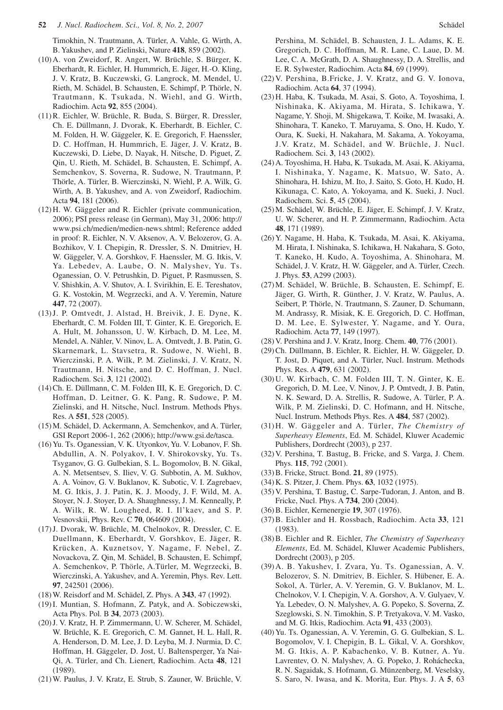Timokhin, N. Trautmann, A. Türler, A. Vahle, G. Wirth, A. B. Yakushev, and P. Zielinski, Nature **418**, 859 (2002).

- (10) A. von Zweidorf, R. Angert, W. Brüchle, S. Bürger, K. Eberhardt, R. Eichler, H. Hummrich, E. Jäger, H.-O. Kling, J. V. Kratz, B. Kuczewski, G. Langrock, M. Mendel, U. Rieth, M. Schädel, B. Schausten, E. Schimpf, P. Thörle, N. Trautmann, K. Tsukada, N. Wiehl, and G. Wirth, Radiochim. Acta **92**, 855 (2004).
- (11) R. Eichler, W. Brüchle, R. Buda, S. Bürger, R. Dressler, Ch. E. Düllmann, J. Dvorak, K. Eberhardt, B. Eichler, C. M. Folden, H. W. Gäggeler, K. E. Gregorich, F. Haenssler, D. C. Hoffman, H. Hummrich, E. Jäger, J. V. Kratz, B. Kuczewski, D. Liebe, D. Nayak, H. Nitsche, D. Piguet, Z. Qin, U. Rieth, M. Schädel, B. Schausten, E. Schimpf, A. Semchenkov, S. Soverna, R. Sudowe, N. Trautmann, P. Thörle, A. Türler, B. Wierczinski, N. Wiehl, P. A. Wilk, G. Wirth, A. B. Yakushev, and A. von Zweidorf, Radiochim. Acta **94**, 181 (2006).
- (12) H. W. Gäggeler and R. Eichler (private communication, 2006); PSI press release (in German), May 31, 2006: http:// www.psi.ch/medien/medien-news.shtml; Reference added in proof: R. Eichler, N. V. Aksenov, A. V. Belozerov, G. A. Bozhikov, V. I. Chepigin, R. Dressler, S. N. Dmitriev, H. W. Gäggeler, V. A. Gorshkov, F. Haenssler, M. G. Itkis, V. Ya. Lebedev, A. Laube, O. N. Malyshev, Yu. Ts. Oganessian, O. V. Petrushkin, D. Piguet, P. Rasmussen, S. V. Shishkin, A. V. Shutov, A. I. Svirikhin, E. E. Tereshatov, G. K. Vostokin, M. Wegrzecki, and A. V. Yeremin, Nature **447**, 72 (2007).
- (13) J. P. Omtvedt, J. Alstad, H. Breivik, J. E. Dyne, K. Eberhardt, C. M. Folden III, T. Ginter, K. E. Gregorich, E. A. Hult, M. Johansson, U. W. Kirbach, D. M. Lee, M. Mendel, A. Nähler, V. Ninov, L. A. Omtvedt, J. B. Patin, G. Skarnemark, L. Stavsetra, R. Sudowe, N. Wiehl, B. Wierczinski, P. A. Wilk, P. M. Zielinski, J. V. Kratz, N. Trautmann, H. Nitsche, and D. C. Hoffman, J. Nucl. Radiochem. Sci. **3**, 121 (2002).
- (14) Ch. E. Düllmann, C. M. Folden III, K. E. Gregorich, D. C. Hoffman, D. Leitner, G. K. Pang, R. Sudowe, P. M. Zielinski, and H. Nitsche, Nucl. Instrum. Methods Phys. Res. A **551**, 528 (2005).
- (15) M. Schädel, D. Ackermann, A. Semchenkov, and A. Türler, GSI Report 2006-1, 262 (2006); http://www.gsi.de/tasca.
- (16) Yu. Ts. Oganessian, V. K. Utyonkov, Yu. V. Lobanov, F. Sh. Abdullin, A. N. Polyakov, I. V. Shirokovsky, Yu. Ts. Tsyganov, G. G. Gulbekian, S. L. Bogomolov, B. N. Gikal, A. N. Metsentsev, S. Iliev, V. G. Subbotin, A. M. Sukhov, A. A. Voinov, G. V. Buklanov, K. Subotic, V. I. Zagrebaev, M. G. Itkis, J. J. Patin, K. J. Moody, J. F. Wild, M. A. Stoyer, N. J. Stoyer, D. A. Shaughnessy, J. M. Kenneally, P. A. Wilk, R. W. Lougheed, R. I. Il'kaev, and S. P. Vesnovskii, Phys. Rev. C **70**, 064609 (2004).
- (17) J. Dvorak, W. Brüchle, M. Chelnokov, R. Dressler, C. E. Duellmann, K. Eberhardt, V. Gorshkov, E. Jäger, R. Krücken, A. Kuznetsov, Y. Nagame, F. Nebel, Z. Novackova, Z. Qin, M. Schädel, B. Schausten, E. Schimpf, A. Semchenkov, P. Thörle, A.Türler, M. Wegrzecki, B. Wierczinski, A. Yakushev, and A. Yeremin, Phys. Rev. Lett. **97**, 242501 (2006).
- (18) W. Reisdorf and M. Schädel, Z. Phys. A **343**, 47 (1992).
- (19) I. Muntian, S. Hofmann, Z. Patyk, and A. Sobiczewski, Acta Phys. Pol. B **34**, 2073 (2003).
- (20) J. V. Kratz, H. P. Zimmermann, U. W. Scherer, M. Schädel, W. Brüchle, K. E. Gregorich, C. M. Gannet, H. L. Hall, R. A. Henderson, D. M. Lee, J. D. Leyba, M. J. Nurmia, D. C. Hoffman, H. Gäggeler, D. Jost, U. Baltensperger, Ya Nai-Qi, A. Türler, and Ch. Lienert, Radiochim. Acta **48**, 121 (1989).
- (21) W. Paulus, J. V. Kratz, E. Strub, S. Zauner, W. Brüchle, V.

Pershina, M. Schädel, B. Schausten, J. L. Adams, K. E. Gregorich, D. C. Hoffman, M. R. Lane, C. Laue, D. M. Lee, C. A. McGrath, D. A. Shaughnessy, D. A. Strellis, and E. R. Sylwester, Radiochim. Acta **84**, 69 (1999).

- (22) V. Pershina, B.Fricke, J. V. Kratz, and G. V. Ionova, Radiochim. Acta **64**, 37 (1994).
- (23) H. Haba, K. Tsukada, M. Asai, S. Goto, A. Toyoshima, I. Nishinaka, K. Akiyama, M. Hirata, S. Ichikawa, Y. Nagame, Y. Shoji, M. Shigekawa, T. Koike, M. Iwasaki, A. Shinohara, T. Kaneko, T. Maruyama, S. Ono, H. Kudo, Y. Oura, K. Sueki, H. Nakahara, M. Sakama, A. Yokoyama, J.V. Kratz, M. Schädel, and W. Brüchle, J. Nucl. Radiochem. Sci. **3**, 143 (2002).
- (24) A. Toyoshima, H. Haba, K. Tsukada, M. Asai, K. Akiyama, I. Nishinaka, Y. Nagame, K. Matsuo, W. Sato, A. Shinohara, H. Ishizu, M. Ito, J. Saito, S. Goto, H. Kudo, H. Kikunaga, C. Kato, A. Yokoyama, and K. Sueki, J. Nucl. Radiochem. Sci. **5**, 45 (2004).
- (25) M. Schädel, W. Brüchle, E. Jäger, E. Schimpf, J. V. Kratz, U. W. Scherer, and H. P. Zimmermann, Radiochim. Acta **48**, 171 (1989).
- (26) Y. Nagame, H. Haba, K. Tsukada, M. Asai, K. Akiyama, M. Hirata, I. Nishinaka, S. Ichikawa, H. Nakahara, S. Goto, T. Kaneko, H. Kudo, A. Toyoshima, A. Shinohara, M. Schädel, J. V. Kratz, H. W. Gäggeler, and A. Türler, Czech. J. Phys. **53**, A299 (2003).
- (27) M. Schädel, W. Brüchle, B. Schausten, E. Schimpf, E. Jäger, G. Wirth, R. Günther, J. V. Kratz, W. Paulus, A. Seibert, P. Thörle, N. Trautmann, S. Zauner, D. Schumann, M. Andrassy, R. Misiak, K. E. Gregorich, D. C. Hoffman, D. M. Lee, E. Sylwester, Y. Nagame, and Y. Oura, Radiochim. Acta **77**, 149 (1997).
- (28) V. Pershina and J. V. Kratz, Inorg. Chem. **40**, 776 (2001).
- (29) Ch. Düllmann, B. Eichler, R. Eichler, H. W. Gäggeler, D. T. Jost, D. Piquet, and A. Türler, Nucl. Instrum. Methods Phys. Res. A **479**, 631 (2002).
- (30) U. W. Kirbach, C. M. Folden III, T. N. Ginter, K. E. Gregorich, D. M. Lee, V. Ninov, J. P. Omtvedt, J. B. Patin, N. K. Seward, D. A. Strellis, R. Sudowe, A. Türler, P. A. Wilk, P. M. Zielinski, D. C. Hofmann, and H. Nitsche, Nucl. Instrum. Methods Phys. Res. A **484**, 587 (2002).
- (31) H. W. Gäggeler and A. Türler, *The Chemistry of Superheavy Elements*, Ed. M. Schädel, Kluwer Academic Publishers, Dordrecht (2003), p 237.
- (32) V. Pershina, T. Bastug, B. Fricke, and S. Varga, J. Chem. Phys. **115**, 792 (2001).
- (33) B. Fricke, Struct. Bond. **21**, 89 (1975).
- (34) K. S. Pitzer, J. Chem. Phys. **63**, 1032 (1975).
- (35) V. Pershina, T. Bastug, C. Sarpe-Tudoran, J. Anton, and B. Fricke, Nucl. Phys. A **734**, 200 (2004).
- (36) B. Eichler, Kernenergie **19**, 307 (1976).
- (37) B. Eichler and H. Rossbach, Radiochim. Acta **33**, 121 (1983).
- (38) B. Eichler and R. Eichler, *The Chemistry of Superheavy Elements*, Ed. M. Schädel, Kluwer Academic Publishers, Dordrecht (2003), p 205.
- (39) A. B. Yakushev, I. Zvara, Yu. Ts. Oganessian, A. V. Belozerov, S. N. Dmitriev, B. Eichler, S. Hübener, E. A. Sokol, A. Türler, A. V. Yeremin, G. V. Buklanov, M. L. Chelnokov, V. I. Chepigin, V. A. Gorshov, A. V. Gulyaev, V. Ya. Lebedev, O. N. Malyshev, A. G. Popeko, S. Soverna, Z. Szeglowski, S. N. Timokhin, S. P. Tretyakova, V. M. Vasko, and M. G. Itkis, Radiochim. Acta **91**, 433 (2003).
- (40) Yu. Ts. Oganessian, A. V. Yeremin, G. G. Gulbekian, S. L. Bogomolov, V. I. Chepigin, B. L. Gikal, V. A. Gorshkov, M. G. Itkis, A. P. Kabachenko, V. B. Kutner, A. Yu. Lavrentev, O. N. Malyshev, A. G. Popeko, J. Roháchecka, R. N. Sagaidak, S. Hofmann, G. Münzenberg, M. Veselsky, S. Saro, N. Iwasa, and K. Morita, Eur. Phys. J. A **5**, 63